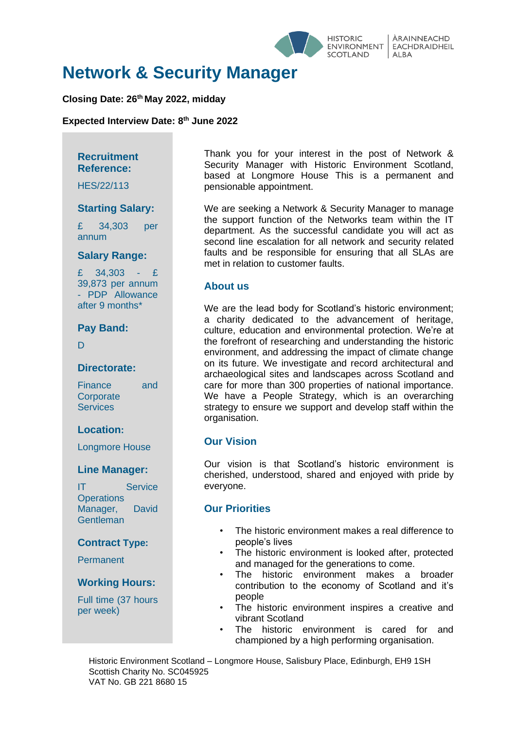

# **Network & Security Manager**

### **Closing Date: 26 th May 2022, midday**

**Expected Interview Date: 8 th June 2022**

### **Recruitment Reference:**

HES/22/113

### **Starting Salary:**

£ 34,303 per annum

#### **Salary Range:**

£ 34,303 - £ 39,873 per annum - PDP Allowance after 9 months\*

### **Pay Band:**

 $\overline{D}$ 

#### **Directorate:**

Finance and **Corporate Services** 

### **Location:**

Longmore House

### **Line Manager:**

IT Service **Operations** Manager, David **Gentleman** 

### **Contract Type:**

Permanent

### **Working Hours:**

Full time (37 hours per week)

Thank you for your interest in the post of Network & Security Manager with Historic Environment Scotland, based at Longmore House This is a permanent and pensionable appointment.

We are seeking a Network & Security Manager to manage the support function of the Networks team within the IT department. As the successful candidate you will act as second line escalation for all network and security related faults and be responsible for ensuring that all SLAs are met in relation to customer faults.

### **About us**

We are the lead body for Scotland's historic environment; a charity dedicated to the advancement of heritage, culture, education and environmental protection. We're at the forefront of researching and understanding the historic environment, and addressing the impact of climate change on its future. We investigate and record architectural and archaeological sites and landscapes across Scotland and care for more than 300 properties of national importance. We have a People Strategy, which is an overarching strategy to ensure we support and develop staff within the organisation.

### **Our Vision**

Our vision is that Scotland's historic environment is cherished, understood, shared and enjoyed with pride by everyone.

### **Our Priorities**

- The historic environment makes a real difference to people's lives
- The historic environment is looked after, protected and managed for the generations to come.
- The historic environment makes a broader contribution to the economy of Scotland and it's people
- The historic environment inspires a creative and vibrant Scotland
- The historic environment is cared for and championed by a high performing organisation.

 Historic Environment Scotland – Longmore House, Salisbury Place, Edinburgh, EH9 1SH Scottish Charity No. SC045925 VAT No. GB 221 8680 15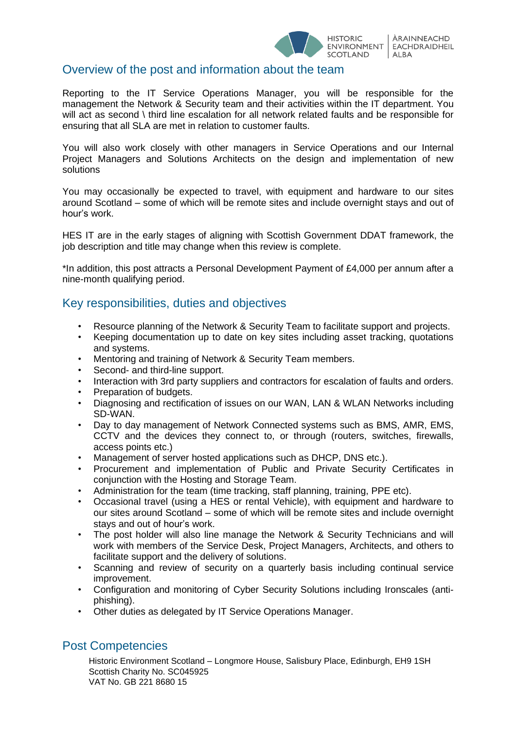

# Overview of the post and information about the team

Reporting to the IT Service Operations Manager, you will be responsible for the management the Network & Security team and their activities within the IT department. You will act as second \ third line escalation for all network related faults and be responsible for ensuring that all SLA are met in relation to customer faults.

You will also work closely with other managers in Service Operations and our Internal Project Managers and Solutions Architects on the design and implementation of new solutions

You may occasionally be expected to travel, with equipment and hardware to our sites around Scotland – some of which will be remote sites and include overnight stays and out of hour's work.

HES IT are in the early stages of aligning with Scottish Government DDAT framework, the job description and title may change when this review is complete.

\*In addition, this post attracts a Personal Development Payment of £4,000 per annum after a nine-month qualifying period.

# Key responsibilities, duties and objectives

- Resource planning of the Network & Security Team to facilitate support and projects.
- Keeping documentation up to date on key sites including asset tracking, quotations and systems.
- Mentoring and training of Network & Security Team members.
- Second- and third-line support.
- Interaction with 3rd party suppliers and contractors for escalation of faults and orders.
- Preparation of budgets.
- Diagnosing and rectification of issues on our WAN, LAN & WLAN Networks including SD-WAN.
- Day to day management of Network Connected systems such as BMS, AMR, EMS, CCTV and the devices they connect to, or through (routers, switches, firewalls, access points etc.)
- Management of server hosted applications such as DHCP, DNS etc.).
- Procurement and implementation of Public and Private Security Certificates in conjunction with the Hosting and Storage Team.
- Administration for the team (time tracking, staff planning, training, PPE etc).
- Occasional travel (using a HES or rental Vehicle), with equipment and hardware to our sites around Scotland – some of which will be remote sites and include overnight stays and out of hour's work.
- The post holder will also line manage the Network & Security Technicians and will work with members of the Service Desk, Project Managers, Architects, and others to facilitate support and the delivery of solutions.
- Scanning and review of security on a quarterly basis including continual service improvement.
- Configuration and monitoring of Cyber Security Solutions including Ironscales (antiphishing).
- Other duties as delegated by IT Service Operations Manager.

### Post Competencies

 Historic Environment Scotland – Longmore House, Salisbury Place, Edinburgh, EH9 1SH Scottish Charity No. SC045925 VAT No. GB 221 8680 15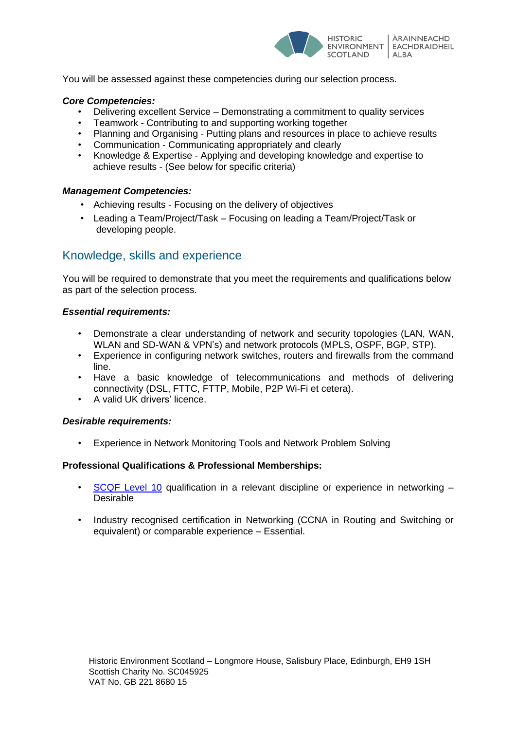

You will be assessed against these competencies during our selection process.

### *Core Competencies:*

- Delivering excellent Service Demonstrating a commitment to quality services
- Teamwork Contributing to and supporting working together
- Planning and Organising Putting plans and resources in place to achieve results
- Communication Communicating appropriately and clearly
- Knowledge & Expertise Applying and developing knowledge and expertise to achieve results - (See below for specific criteria)

### *Management Competencies:*

- Achieving results Focusing on the delivery of objectives
- Leading a Team/Project/Task Focusing on leading a Team/Project/Task or developing people.

# Knowledge, skills and experience

You will be required to demonstrate that you meet the requirements and qualifications below as part of the selection process.

#### *Essential requirements:*

- Demonstrate a clear understanding of network and security topologies (LAN, WAN, WLAN and SD-WAN & VPN's) and network protocols (MPLS, OSPF, BGP, STP).
- Experience in configuring network switches, routers and firewalls from the command line.
- Have a basic knowledge of telecommunications and methods of delivering connectivity (DSL, FTTC, FTTP, Mobile, P2P Wi-Fi et cetera).
- A valid UK drivers' licence.

### *Desirable requirements:*

• Experience in Network Monitoring Tools and Network Problem Solving

### **Professional Qualifications & Professional Memberships:**

- [SCQF Level 10](https://scqf.org.uk/about-the-framework/interactive-framework/) qualification in a relevant discipline or experience in networking Desirable
- Industry recognised certification in Networking (CCNA in Routing and Switching or equivalent) or comparable experience – Essential.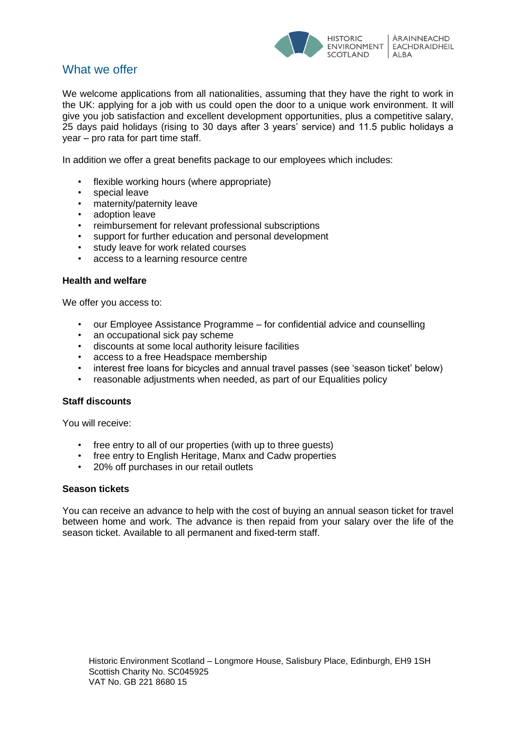

# What we offer

We welcome applications from all nationalities, assuming that they have the right to work in the UK: applying for a job with us could open the door to a unique work environment. It will give you job satisfaction and excellent development opportunities, plus a competitive salary, 25 days paid holidays (rising to 30 days after 3 years' service) and 11.5 public holidays a year – pro rata for part time staff.

In addition we offer a great benefits package to our employees which includes:

- flexible working hours (where appropriate)
- special leave
- maternity/paternity leave
- adoption leave
- reimbursement for relevant professional subscriptions
- support for further education and personal development
- study leave for work related courses
- access to a learning resource centre

#### **Health and welfare**

We offer you access to:

- our Employee Assistance Programme for confidential advice and counselling
- an occupational sick pay scheme
- discounts at some local authority leisure facilities
- access to a free Headspace membership
- interest free loans for bicycles and annual travel passes (see 'season ticket' below)
- reasonable adjustments when needed, as part of our Equalities policy

#### **Staff discounts**

You will receive:

- free entry to all of our properties (with up to three quests)
- free entry to English Heritage, Manx and Cadw properties
- 20% off purchases in our retail outlets

#### **Season tickets**

You can receive an advance to help with the cost of buying an annual season ticket for travel between home and work. The advance is then repaid from your salary over the life of the season ticket. Available to all permanent and fixed-term staff.